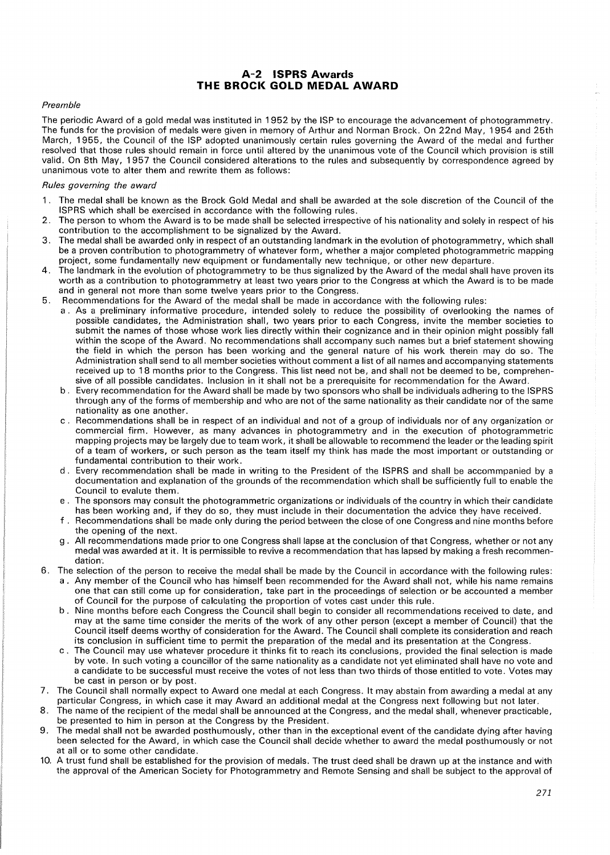## **A-2 ISPRS Awards THE BROCK GOLD MEDAL AWARD**

#### Preamble

The periodic Award of a gold medal was instituted in 1952 by the ISP to encourage the advancement of photogrammetry. The funds for the provision of medals were given in memory of Arthur and Norman Brock. On 22nd May, 1954 and 25th March, 1955, the Council of the ISP adopted unanimously certain rules governing the Award of the medal and further resolved that those rules should remain in force until altered by the unanimous vote of the Council which provision is still valid. On 8th May, 1957 the Council considered alterations to the rules and subsequently by correspondence agreed by unanimous vote to alter them and rewrite them as follows:

#### Rules governing the award

- 1 . The medal shall be known as the Brock Gold Medal and shall be awarded at the sole discretion of the Council of the ISPRS which shall be exercised in accordance with the following rules.
- 2. The person to whom the Award is to be made shall be selected irrespective of his nationality and solely in respect of his contribution to the accomplishment to be signalized by the Award.
- 3. The medal shall be awarded only in respect of an outstanding landmark in the evolution of photogrammetry, which shall be a proven contribution to photogrammetry of whatever form, whether a major completed photogrammetric mapping project, some fundamentally new equipment or fundamentally new technique, or other new departure.
- 4. The landmark in the evolution of photogrammetry to be thus signalized by the Award of the medal shall have proven its worth as a contribution to photogrammetry at least two years prior to the Congress at which the Award is to be made and in general not more than some twelve years prior to the Congress.
- 5. Recommendations for the Award of the medal shall be made in accordance with the following rules:
	- a . As a preliminary informative procedure, intended solely to reduce the possibility of overlooking the names of possible candidates, the Administration shall, two years prior to each Congress, invite the member societies to submit the names of those whose work lies directly within their cognizance and in their opinion might possibly fall within the scope of the Award. No recommendations shall accompany such names but a brief statement showing the field in which the person has been working and the general nature of his work therein may do so. The Administration shall send to all member societies without comment a list of all names and accompanying statements received up to 18 months prior to the Congress. This list need not be, and shall not be deemed to be, comprehensive of all possible candidates. Inclusion in it shall not be a prerequisite for recommendation for the Award.
	- b. Every recommendation for the Award shall be made by two sponsors who shall be individuals adhering to the ISPRS through any of the forms of membership and who are not of the same nationality as their candidate nor of the same nationality as one another.
	- c . Recommendations shall be in respect of an individual and not of a group of individuals nor of any organization or commercial firm. However, as many advances in photogrammetry and in the execution of photogrammetric mapping projects may be largely due to team work, it shall be allowable to recommend the leader or the leading spirit of a team of workers, or such person as the team itself my think has made the most important or outstanding or fundamental contribution to their work.
	- d . Every recommendation shall be made in writing to the President of the ISPRS and shall be accommpanied by a documentation and explanation of the grounds of the recommendation which shall be sufficiently full to enable the Council to evalute them.
	- e . The sponsors may consult the photogrammetric organizations or individuals of the country in which their candidate has been working and, if they do so, they must include in their documentation the advice they have received.
	- f . Recommendations shall be made only during the period between the close of one Congress and nine months before the opening of the next.
	- g . All recommendations made prior to one Congress shall lapse at the conclusion of that Congress, whether or not any medal was awarded at it. It is permissible to revive a recommendation that has lapsed by making a fresh recommendation<sup>-</sup>
- 6. The selection of the person to receive the medal shall be made by the Council in accordance with the following rules: a . Any member of the Council who has himself been recommended for the Award shall not, while his name remains one that can still come up for consideration, take part in the proceedings of selection or be accounted a member of Council for the purpose of calculating the proportion of votes cast under this rule.
	- b . Nine months before each Congress the Council shall begin to consider all recommendations received to date, and may at the same time consider the merits of the work of any other person (except a member of Council) that the Council itself deems worthy of consideration for the Award. The Council shall complete its consideration and reach its conclusion in sufficient time to permit the preparation of the medal and its presentation at the Congress.
	- c . The Council may use whatever procedure it thinks fit to reach its conclusions, provided the final selection is made by vote. In such voting a councillor of the same nationality as a candidate not yet eliminated shall have no vote and a candidate to be successful must receive the votes of not less than two thirds of those entitled to vote. Votes may be cast in person or by post.
- 7. The Council shall normally expect to Award one medal at each Congress. It may abstain from awarding a medal at any particular Congress, in which case it may Award an additional medal at the Congress next following but not later.
- 8. The name of the recipient of the medal shall be announced at the Congress, and the medal shall, whenever practicable, be presented to him in person at the Congress by the President.
- 9. The medal shall not be awarded posthumously, other than in the exceptional event of the candidate dying after having been selected for the Award, in which case the Council shall decide whether to award the medal posthumously or not at all or to some other candidate.
- 10. A trust fund shall be established for the provision of medals. The trust deed shall be drawn up at the instance and with the approval of the American Society for Photogrammetry and Remote Sensing and shall be subject to the approval of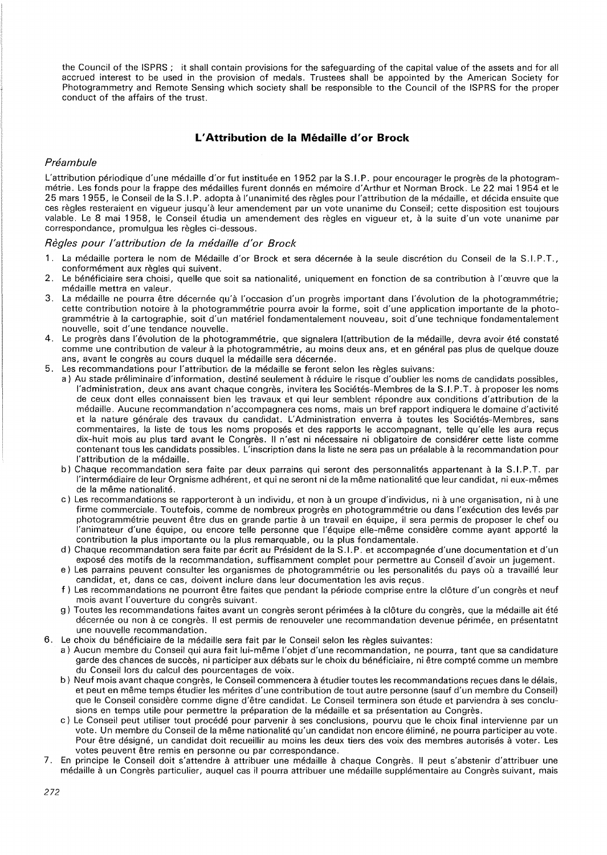the Council of the ISPRS ; it shall contain provisions for the safeguarding of the capital value of the assets and for all accrued interest to be used in the provision of medals. Trustees shall be appointed by the American Society for Photogrammetry and Remote Sensing which society shall be responsible to the Council of the ISPRS for the proper conduct of the affairs of the trust.

# **L' Attribution de la Medaille d'or Brock**

## Préambule

L'attribution périodique d'une médaille d'or fut instituée en 1952 par la S.I.P. pour encourager le progrès de la photogrammetrie. Les fonds pour la frappe des medailles furent donnes en memoire d'Arthur et Norman Brock. Le 22 mai 1954 et le 25 mars 1955, le Conseil de la S. I. P. adopta a l'unanimite des regles pour !'attribution de la medaille, et decida ensuite que ces regles resteraient en vigueur jusqu'a leur amendement par un vote unanime du Conseil; cette disposition est toujours valable. Le 8 mai 1958, le Conseil etudia un amendement des regles en vigueur et, a la suite d'un vote unanime par correspondance, promulgua les regles ci-dessous.

### Règles pour l'attribution de la médaille d'or Brock

- La médaille portera le nom de Médaille d'or Brock et sera décernée à la seule discrétion du Conseil de la S.I.P.T., conformément aux règles qui suivent.
- 2. Le beneficiaire sera choisi, quelle que soit sa nationalite, uniquement en fonction de sa contribution a l'ceuvre que la médaille mettra en valeur.
- 3. La médaille ne pourra être décernée qu'à l'occasion d'un progrès important dans l'évolution de la photogrammétrie; cette contribution notoire à la photogrammétrie pourra avoir la forme, soit d'une application importante de la photogrammetrie a la cartographie, soit d'un materiel fondamentalement nouveau, soit d'une technique fondamentalement nouvelle, soit d'une tendance nouvelle.
- 4. Le progrès dans l'évolution de la photogrammétrie, que signalera l(attribution de la médaille, devra avoir été constaté comme une contribution de valeur à la photogrammétrie, au moins deux ans, et en général pas plus de quelque douze ans, avant le congrès au cours duquel la médaille sera décernée.
- 5. Les recommandations pour !'attribution de la medaille se feront selon les regles suivans:
	- a) Au stade préliminaire d'information, destiné seulement à réduire le risque d'oublier les noms de candidats possibles, l'administration, deux ans avant chaque congrès, invitera les Sociétés-Membres de la S.I.P.T. à proposer les noms de ceux dont elles connaissent bien les travaux et qui leur semblent repondre aux conditions d'attribution de la medaille. Aucune recommandation n'accompagnera ces noms, mais un bref rapport indiquera le domaine d'activite et la nature générale des travaux du candidat. L'Administration enverra à toutes les Sociétés-Membres, sans commentaires, la liste de tous les noms proposés et des rapports le accompagnant, telle qu'elle les aura reçus dix-huit mois au plus tard avant le Congrès. Il n'est ni nécessaire ni obligatoire de considérer cette liste comme contenant tousles candidats possibles. L'inscription dans la liste ne sera pas un prealable a la recommandation pour l'attribution de la médaille.
	- b) Chaque recommandation sera faite par deux parrains qui seront des personnalités appartenant à la S.I.P.T. par l'intermédiaire de leur Orgnisme adhérent, et qui ne seront ni de la même nationalité que leur candidat, ni eux-mêmes de la même nationalité.
	- c) Les recommandations se rapporteront à un individu, et non à un groupe d'individus, ni à une organisation, ni à une firme commerciale. Toutefois, comme de nombreux progrès en photogrammétrie ou dans l'exécution des levés par photogrammétrie peuvent être dus en grande partie à un travail en équipe, il sera permis de proposer le chef ou l'animateur d'une équipe, ou encore telle personne que l'équipe elle-même considère comme ayant apporté la contribution la plus importante ou la plus remarquable, ou la plus fondamentale.
	- d) Chaque recommandation sera faite par écrit au Président de la S.I.P. et accompagnée d'une documentation et d'un expose des motifs de la recommandation, suffisamment complet pour permettre au Conseil d'avoir un jugement.
	- e) Les parrains peuvent consulter les organismes de photogrammétrie ou les personalités du pays où a travaillé leur candidat, et, dans ce cas, doivent inclure dans leur documentation les avis recus.
	- f) Les recommandations ne pourront être faites que pendant la période comprise entre la clôture d'un congrès et neuf mois avant l'ouverture du congrès suivant.
	- g) Toutes les recommandations faites avant un congrès seront périmées à la clôture du congrès, que la médaille ait été décernée ou non à ce congrès. Il est permis de renouveler une recommandation devenue périmée, en présentatnt une nouvelle recommandation.
- 6. Le choix du bénéficiaire de la médaille sera fait par le Conseil selon les règles suivantes:
	- a) Aucun membre du Conseil qui aura fait lui-même l'objet d'une recommandation, ne pourra, tant que sa candidature garde des chances de succès, ni participer aux débats sur le choix du bénéficiaire, ni être compté comme un membre du Conseil lors du calcul des pourcentages de voix.
	- b) Neuf mois avant chaque congrès, le Conseil commencera à étudier toutes les recommandations reçues dans le délais, et peut en meme temps etudier les merites d'une contribution de tout autre personne (sauf d'un membre du Conseil) que le Conseil considère comme digne d'être candidat. Le Conseil terminera son étude et parviendra à ses conclusions en temps utile pour permettre la préparation de la médaille et sa présentation au Congrès.
	- c) Le Conseil peut utiliser tout procédé pour parvenir à ses conclusions, pourvu que le choix final intervienne par un vote. Un membre du Conseil de la même nationalité qu'un candidat non encore éliminé, ne pourra participer au vote. Pour être désigné, un candidat doit recueillir au moins les deux tiers des voix des membres autorisés à voter. Les votes peuvent etre remis en personne ou par correspondance.
- 7. En principe le Conseil doit s'attendre a attribuer une medaille a chaque Congres. II peut s'abstenir d'attribuer une médaille à un Congrès particulier, auquel cas il pourra attribuer une médaille supplémentaire au Congrès suivant, mais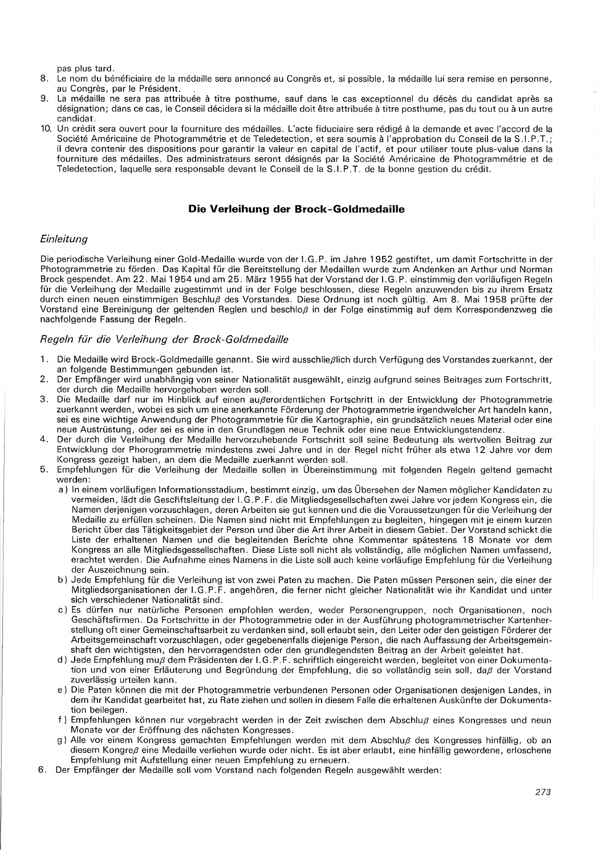pas plus tard.

- 8. Le nom du bénéficiaire de la médaille sera annoncé au Congrès et, si possible, la médaille lui sera remise en personne, au Congrès, par le Président.
- 9. La médaille ne sera pas attribuée à titre posthume, sauf dans le cas exceptionnel du décès du candidat après sa désignation; dans ce cas, le Conseil décidera si la médaille doit être attribuée à titre posthume, pas du tout ou à un autre candidat.
- 10. Un crédit sera ouvert pour la fourniture des médailles. L'acte fiduciaire sera rédigé à la demande et avec l'accord de la Société Américaine de Photogrammétrie et de Teledetection, et sera soumis à l'approbation du Conseil de la S.I.P.T.; ii devra contenir des dispositions pour garantir la valeur en capital de l'actif, et pour utiliser toute plus-value dans la fourniture des medailles. Des administrateurs seront designes par la Societe Americaine de Photogrammetrie et de Teledetection, laquelle sera responsable devant le Conseil de la S.I.P.T. de la bonne gestion du credit.

## **Die Verleihung der Brock-Goldmedaille**

### **Einleitung**

Die periodische Verleihung einer Gold-Medaille wurde von der I.G.P. im Jahre 1952 gestiftet, um damit Fortschritte in der Photogrammetrie zu förden. Das Kapital für die Bereitstellung der Medaillen wurde zum Andenken an Arthur und Norman Brock gespendet. Am 22. Mai 1 954 und am 25. Marz 1955 hat der Vorstand der I. G. P. einstimmig den vorlaufigen Regeln für die Verleihung der Medaille zugestimmt und in der Folge beschlossen, diese Regeln anzuwenden bis zu ihrem Ersatz durch einen neuen einstimmigen Beschlu $\beta$  des Vorstandes. Diese Ordnung ist noch gültig. Am 8. Mai 1958 prüfte der Vorstand eine Bereinigung der geltenden Reglen und beschloß in der Folge einstimmig auf dem Korrespondenzweg die nachfolgende Fassung der Regeln.

### Regeln für die Verleihung der Brock-Goldmedaille

- 1 . Die Medaiile wird Brock-Goldmedaille genannt. Sie wird ausschlie/3lich durch Verfugung des Vorstandes zuerkannt, der an folgende Bestimmungen gebunden ist.
- 2. Der Empfanger wird unabhangig von seiner Nationalitat ausgewahlt, einzig aufgrund seines Beitrages zum Fortschritt, der durch die Medaille hervorgehoben werden soil.
- 3. Die Medaille darf nur im Hinblick auf einen außerordentlichen Fortschritt in der Entwicklung der Photogrammetrie zuerkannt werden, wobei es sich um eine anerkannte Förderung der Photogrammetrie irgendwelcher Art handeln kann, sei es eine wichtige Anwendung der Photogrammetrie für die Kartographie, ein grundsätzlich neues Material oder eine neue Austrüstung, oder sei es eine in den Grundlagen neue Technik oder eine neue Entwicklungstendenz.
- 4. Der durch die Verleihung der Medaille hervorzuhebende Fortschritt soil seine Bedeutung als wertvollen Beitrag zur Entwicklung der Phorogrammetrie mindestens zwei Jahre und in der Regel nicht früher als etwa 12 Jahre vor dem Kongress gezeigt haben, an dem die Medaille zuerkannt werden soil.
- 5. Empfehlungen fur die Verleihung der Medaiile sollen in Obereinstimmung mit folgenden Regeln geltend gemacht werden:
	- a) In einem vorläufigen Informationsstadium, bestimmt einzig, um das Übersehen der Namen möglicher Kandidaten zu vermeiden, ladt die Gescfiftsleitung der I. G. P. F. die Mitgliedsgesellschaften zwei Jahre vor jedem Kongress ein, die Namen derjenigen vorzuschlagen, deren Arbeiten sie gut kennen und die die Voraussetzungen fur die Verleihung der Medaille zu erfullen scheinen. Die Namen sind nicht mit Empfehlungen zu begleiten, hingegen mit je einem kurzen Bericht über das Tätigkeitsgebiet der Person und über die Art ihrer Arbeit in diesem Gebiet. Der Vorstand schickt die Liste der erhaltenen Namen und die begleitenden Berichte ohne Kommentar spatestens 18 Monate vor dem Kongress an alle Mitgliedsgessellschaften. Diese Liste soll nicht als vollständig, alle möglichen Namen umfassend, erachtet werden. Die Aufnahme eines Namens in die Liste soll auch keine vorläufige Empfehlung für die Verleihung der Auszeichnung sein.
	- b) Jede Empfehlung für die Verleihung ist von zwei Paten zu machen. Die Paten müssen Personen sein, die einer der Mitgliedsorganisationen der I.G.P.F. angehören, die ferner nicht gleicher Nationalität wie ihr Kandidat und unter sich verschiedener Nationalitat sind.
	- c) Es dürfen nur natürliche Personen empfohlen werden, weder Personengruppen, noch Organisationen, noch Geschäftsfirmen. Da Fortschritte in der Photogrammetrie oder in der Ausführung photogrammetrischer Kartenherstellung oft einer Gemeinschaftsarbeit zu verdanken sind, soll erlaubt sein, den Leiter oder den geistigen Förderer der Arbeitsgemeinschaft vorzuschlagen, oder gegebenenfails diejenige Person, die nach Auffassung der Arbeitsgemeinshaft den wichtigsten, den hervorragendsten oder den grundlegendsten Beitrag an der Arbeit geleistet hat.
	- d) Jede Empfehlung muß dem Präsidenten der I.G.P.F. schriftlich eingereicht werden, begleitet von einer Dokumentation und von einer Erläuterung und Begründung der Empfehlung, die so vollständig sein soll, daß der Vorstand zuverlässig urteilen kann.
	- e) Die Paten konnen die mit der Photogrammetrie verbundenen Personen oder Organisationen desjenigen Landes, in dem ihr Kandidat gearbeitet hat, zu Rate ziehen und sollen in diesem Falle die erhaltenen Auskünfte der Dokumentation beilegen.
	- f) Empfehlungen können nur vorgebracht werden in der Zeit zwischen dem Abschluß eines Kongresses und neun Monate vor der Eröffnung des nächsten Kongresses.
	- g) Alle vor einem Kongress gemachten Empfehlungen werden mit dem Abschluß des Kongresses hinfällig, ob an diesem Kongre $\beta$  eine Medaille verliehen wurde oder nicht. Es ist aber erlaubt, eine hinfällig gewordene, erloschene Empfehlung mit Aufstellung einer neuen Empfehlung zu erneuern.
- 6. Der Empfanger der Medaiile soil vom Vorstand nach folgenden Regeln ausgewahlt werden: